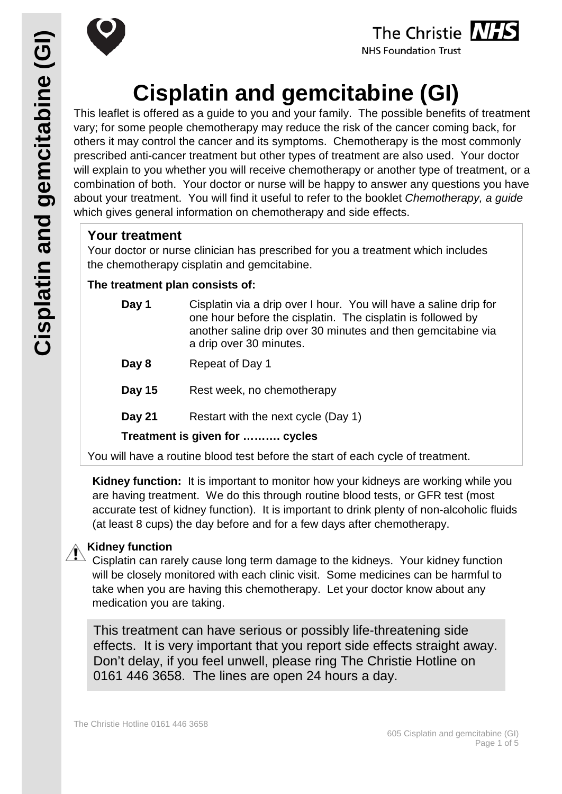





**NHS Foundation Trust** 

# **Cisplatin and gemcitabine (GI)**

This leaflet is offered as a guide to you and your family. The possible benefits of treatment vary; for some people chemotherapy may reduce the risk of the cancer coming back, for others it may control the cancer and its symptoms. Chemotherapy is the most commonly prescribed anti-cancer treatment but other types of treatment are also used. Your doctor will explain to you whether you will receive chemotherapy or another type of treatment, or a combination of both. Your doctor or nurse will be happy to answer any questions you have about your treatment. You will find it useful to refer to the booklet *Chemotherapy, a guide* which gives general information on chemotherapy and side effects.

### **Your treatment**

Your doctor or nurse clinician has prescribed for you a treatment which includes the chemotherapy cisplatin and gemcitabine.

#### **The treatment plan consists of:**

- **Day 1** Cisplatin via a drip over I hour. You will have a saline drip for one hour before the cisplatin. The cisplatin is followed by another saline drip over 30 minutes and then gemcitabine via a drip over 30 minutes.
- **Day 8** Repeat of Day 1
- **Day 15** Rest week, no chemotherapy
- **Day 21** Restart with the next cycle (Day 1)

**Treatment is given for ………. cycles**

You will have a routine blood test before the start of each cycle of treatment.

**Kidney function:** It is important to monitor how your kidneys are working while you are having treatment. We do this through routine blood tests, or GFR test (most accurate test of kidney function). It is important to drink plenty of non-alcoholic fluids (at least 8 cups) the day before and for a few days after chemotherapy.

#### **Kidney function**

Cisplatin can rarely cause long term damage to the kidneys. Your kidney function will be closely monitored with each clinic visit. Some medicines can be harmful to take when you are having this chemotherapy. Let your doctor know about any medication you are taking.

This treatment can have serious or possibly life-threatening side effects. It is very important that you report side effects straight away. Don't delay, if you feel unwell, please ring The Christie Hotline on 0161 446 3658. The lines are open 24 hours a day.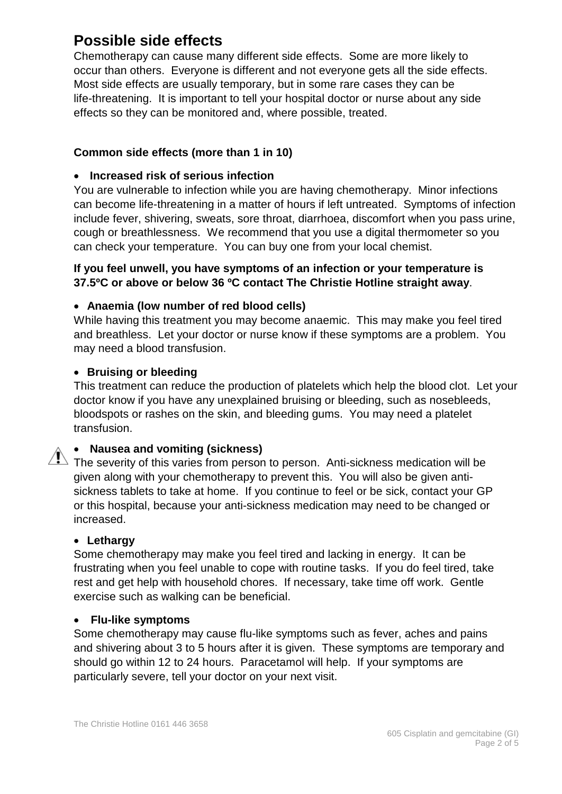# **Possible side effects**

Chemotherapy can cause many different side effects. Some are more likely to occur than others. Everyone is different and not everyone gets all the side effects. Most side effects are usually temporary, but in some rare cases they can be life-threatening. It is important to tell your hospital doctor or nurse about any side effects so they can be monitored and, where possible, treated.

#### **Common side effects (more than 1 in 10)**

#### • **Increased risk of serious infection**

You are vulnerable to infection while you are having chemotherapy. Minor infections can become life-threatening in a matter of hours if left untreated. Symptoms of infection include fever, shivering, sweats, sore throat, diarrhoea, discomfort when you pass urine, cough or breathlessness. We recommend that you use a digital thermometer so you can check your temperature. You can buy one from your local chemist.

#### **If you feel unwell, you have symptoms of an infection or your temperature is 37.5ºC or above or below 36 ºC contact The Christie Hotline straight away**.

#### • **Anaemia (low number of red blood cells)**

While having this treatment you may become anaemic. This may make you feel tired and breathless. Let your doctor or nurse know if these symptoms are a problem. You may need a blood transfusion.

#### • **Bruising or bleeding**

This treatment can reduce the production of platelets which help the blood clot. Let your doctor know if you have any unexplained bruising or bleeding, such as nosebleeds, bloodspots or rashes on the skin, and bleeding gums. You may need a platelet transfusion.

#### • **Nausea and vomiting (sickness)**

The severity of this varies from person to person. Anti-sickness medication will be given along with your chemotherapy to prevent this. You will also be given antisickness tablets to take at home. If you continue to feel or be sick, contact your GP or this hospital, because your anti-sickness medication may need to be changed or increased.

#### • **Lethargy**

Some chemotherapy may make you feel tired and lacking in energy. It can be frustrating when you feel unable to cope with routine tasks. If you do feel tired, take rest and get help with household chores. If necessary, take time off work. Gentle exercise such as walking can be beneficial.

#### • **Flu-like symptoms**

Some chemotherapy may cause flu-like symptoms such as fever, aches and pains and shivering about 3 to 5 hours after it is given. These symptoms are temporary and should go within 12 to 24 hours. Paracetamol will help. If your symptoms are particularly severe, tell your doctor on your next visit.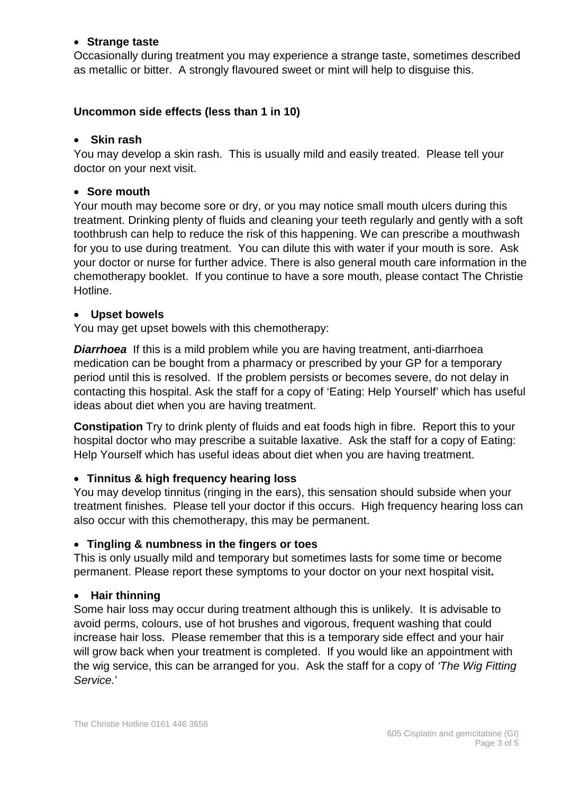#### • **Strange taste**

Occasionally during treatment you may experience a strange taste, sometimes described as metallic or bitter. A strongly flavoured sweet or mint will help to disguise this.

#### **Uncommon side effects (less than 1 in 10)**

#### • **Skin rash**

You may develop a skin rash. This is usually mild and easily treated. Please tell your doctor on your next visit.

#### • **Sore mouth**

Your mouth may become sore or dry, or you may notice small mouth ulcers during this treatment. Drinking plenty of fluids and cleaning your teeth regularly and gently with a soft toothbrush can help to reduce the risk of this happening. We can prescribe a mouthwash for you to use during treatment. You can dilute this with water if your mouth is sore. Ask your doctor or nurse for further advice. There is also general mouth care information in the chemotherapy booklet. If you continue to have a sore mouth, please contact The Christie Hotline.

#### • **Upset bowels**

You may get upset bowels with this chemotherapy:

*Diarrhoea* If this is a mild problem while you are having treatment, anti-diarrhoea medication can be bought from a pharmacy or prescribed by your GP for a temporary period until this is resolved. If the problem persists or becomes severe, do not delay in contacting this hospital. Ask the staff for a copy of 'Eating: Help Yourself' which has useful ideas about diet when you are having treatment.

**Constipation** Try to drink plenty of fluids and eat foods high in fibre. Report this to your hospital doctor who may prescribe a suitable laxative. Ask the staff for a copy of Eating: Help Yourself which has useful ideas about diet when you are having treatment.

#### • **Tinnitus & high frequency hearing loss**

You may develop tinnitus (ringing in the ears), this sensation should subside when your treatment finishes. Please tell your doctor if this occurs. High frequency hearing loss can also occur with this chemotherapy, this may be permanent.

#### • **Tingling & numbness in the fingers or toes**

This is only usually mild and temporary but sometimes lasts for some time or become permanent. Please report these symptoms to your doctor on your next hospital visit**.**

#### • **Hair thinning**

Some hair loss may occur during treatment although this is unlikely. It is advisable to avoid perms, colours, use of hot brushes and vigorous, frequent washing that could increase hair loss. Please remember that this is a temporary side effect and your hair will grow back when your treatment is completed. If you would like an appointment with the wig service, this can be arranged for you. Ask the staff for a copy of *'The Wig Fitting Service.*'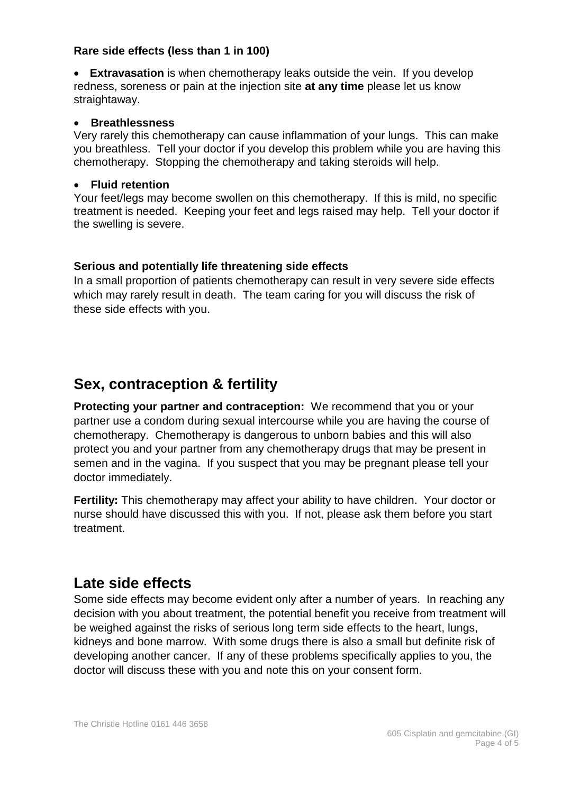#### **Rare side effects (less than 1 in 100)**

• **Extravasation** is when chemotherapy leaks outside the vein. If you develop redness, soreness or pain at the injection site **at any time** please let us know straightaway.

#### • **Breathlessness**

Very rarely this chemotherapy can cause inflammation of your lungs. This can make you breathless. Tell your doctor if you develop this problem while you are having this chemotherapy. Stopping the chemotherapy and taking steroids will help.

#### • **Fluid retention**

Your feet/legs may become swollen on this chemotherapy. If this is mild, no specific treatment is needed. Keeping your feet and legs raised may help. Tell your doctor if the swelling is severe.

#### **Serious and potentially life threatening side effects**

In a small proportion of patients chemotherapy can result in very severe side effects which may rarely result in death. The team caring for you will discuss the risk of these side effects with you.

## **Sex, contraception & fertility**

**Protecting your partner and contraception:** We recommend that you or your partner use a condom during sexual intercourse while you are having the course of chemotherapy. Chemotherapy is dangerous to unborn babies and this will also protect you and your partner from any chemotherapy drugs that may be present in semen and in the vagina. If you suspect that you may be pregnant please tell your doctor immediately.

**Fertility:** This chemotherapy may affect your ability to have children. Your doctor or nurse should have discussed this with you. If not, please ask them before you start treatment.

## **Late side effects**

Some side effects may become evident only after a number of years. In reaching any decision with you about treatment, the potential benefit you receive from treatment will be weighed against the risks of serious long term side effects to the heart, lungs, kidneys and bone marrow. With some drugs there is also a small but definite risk of developing another cancer. If any of these problems specifically applies to you, the doctor will discuss these with you and note this on your consent form.